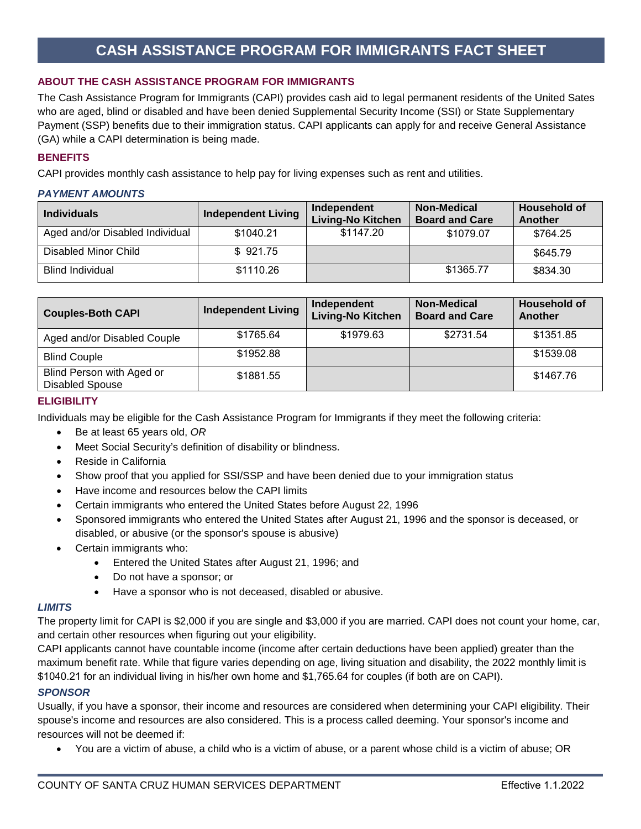## **CASH ASSISTANCE PROGRAM FOR IMMIGRANTS FACT SHEET**

## **ABOUT THE CASH ASSISTANCE PROGRAM FOR IMMIGRANTS**

The Cash Assistance Program for Immigrants (CAPI) provides cash aid to legal permanent residents of the United Sates who are aged, blind or disabled and have been denied Supplemental Security Income (SSI) or State Supplementary Payment (SSP) benefits due to their immigration status. CAPI applicants can apply for and receive General Assistance (GA) while a CAPI determination is being made.

## **BENEFITS**

CAPI provides monthly cash assistance to help pay for living expenses such as rent and utilities.

## *PAYMENT AMOUNTS*

| <b>Individuals</b>              | <b>Independent Living</b> | Independent<br>Living-No Kitchen | <b>Non-Medical</b><br><b>Board and Care</b> | <b>Household of</b><br>Another |
|---------------------------------|---------------------------|----------------------------------|---------------------------------------------|--------------------------------|
| Aged and/or Disabled Individual | \$1040.21                 | \$1147.20                        | \$1079.07                                   | \$764.25                       |
| Disabled Minor Child            | \$921.75                  |                                  |                                             | \$645.79                       |
| <b>Blind Individual</b>         | \$1110.26                 |                                  | \$1365.77                                   | \$834.30                       |

| <b>Couples-Both CAPI</b>                            | <b>Independent Living</b> | Independent<br><b>Living-No Kitchen</b> | <b>Non-Medical</b><br><b>Board and Care</b> | <b>Household of</b><br>Another |
|-----------------------------------------------------|---------------------------|-----------------------------------------|---------------------------------------------|--------------------------------|
| Aged and/or Disabled Couple                         | \$1765.64                 | \$1979.63                               | \$2731.54                                   | \$1351.85                      |
| <b>Blind Couple</b>                                 | \$1952.88                 |                                         |                                             | \$1539.08                      |
| Blind Person with Aged or<br><b>Disabled Spouse</b> | \$1881.55                 |                                         |                                             | \$1467.76                      |

#### **ELIGIBILITY**

Individuals may be eligible for the Cash Assistance Program for Immigrants if they meet the following criteria:

- Be at least 65 years old, *OR*
- Meet Social Security's definition of disability or blindness.
- Reside in California
- Show proof that you applied for SSI/SSP and have been denied due to your immigration status
- Have income and resources below the CAPI limits
- Certain immigrants who entered the United States before August 22, 1996
- Sponsored immigrants who entered the United States after August 21, 1996 and the sponsor is deceased, or disabled, or abusive (or the sponsor's spouse is abusive)
- Certain immigrants who:
	- Entered the United States after August 21, 1996; and
	- Do not have a sponsor; or
	- Have a sponsor who is not deceased, disabled or abusive.

#### *LIMITS*

The property limit for CAPI is \$2,000 if you are single and \$3,000 if you are married. CAPI does not count your home, car, and certain other resources when figuring out your eligibility.

CAPI applicants cannot have countable income (income after certain deductions have been applied) greater than the maximum benefit rate. While that figure varies depending on age, living situation and disability, the 2022 monthly limit is \$1040.21 for an individual living in his/her own home and \$1,765.64 for couples (if both are on CAPI).

#### *SPONSOR*

Usually, if you have a sponsor, their income and resources are considered when determining your CAPI eligibility. Their spouse's income and resources are also considered. This is a process called deeming. Your sponsor's income and resources will not be deemed if:

• You are a victim of abuse, a child who is a victim of abuse, or a parent whose child is a victim of abuse; OR